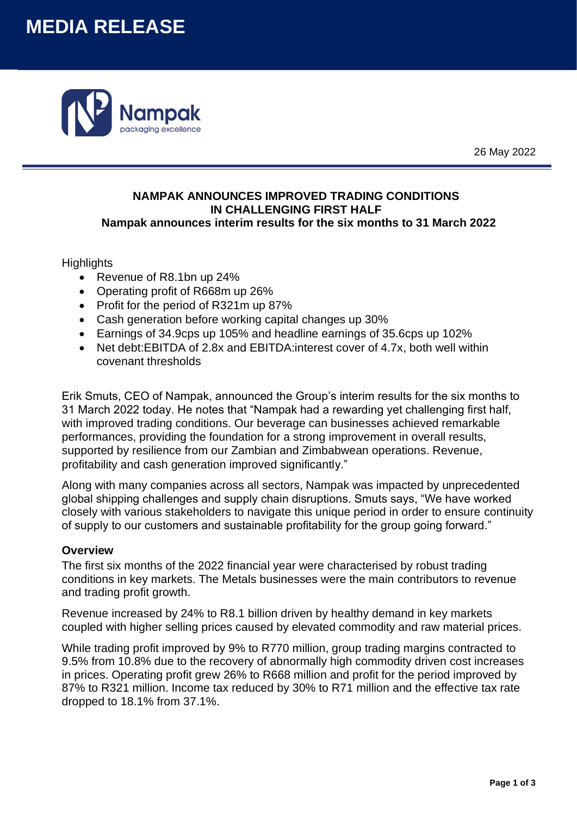# **MEDIA RELEASE**



26 May 2022

## **NAMPAK ANNOUNCES IMPROVED TRADING CONDITIONS IN CHALLENGING FIRST HALF Nampak announces interim results for the six months to 31 March 2022**

## **Highlights**

- Revenue of R8.1bn up 24%
- Operating profit of R668m up 26%
- Profit for the period of R321m up 87%
- Cash generation before working capital changes up 30%
- Earnings of 34.9cps up 105% and headline earnings of 35.6cps up 102%
- Net debt:EBITDA of 2.8x and EBITDA:interest cover of 4.7x, both well within covenant thresholds

Erik Smuts, CEO of Nampak, announced the Group's interim results for the six months to 31 March 2022 today. He notes that "Nampak had a rewarding yet challenging first half, with improved trading conditions. Our beverage can businesses achieved remarkable performances, providing the foundation for a strong improvement in overall results, supported by resilience from our Zambian and Zimbabwean operations. Revenue, profitability and cash generation improved significantly."

Along with many companies across all sectors, Nampak was impacted by unprecedented global shipping challenges and supply chain disruptions. Smuts says, "We have worked closely with various stakeholders to navigate this unique period in order to ensure continuity of supply to our customers and sustainable profitability for the group going forward."

## **Overview**

The first six months of the 2022 financial year were characterised by robust trading conditions in key markets. The Metals businesses were the main contributors to revenue and trading profit growth.

Revenue increased by 24% to R8.1 billion driven by healthy demand in key markets coupled with higher selling prices caused by elevated commodity and raw material prices.

While trading profit improved by 9% to R770 million, group trading margins contracted to 9.5% from 10.8% due to the recovery of abnormally high commodity driven cost increases in prices. Operating profit grew 26% to R668 million and profit for the period improved by 87% to R321 million. Income tax reduced by 30% to R71 million and the effective tax rate dropped to 18.1% from 37.1%.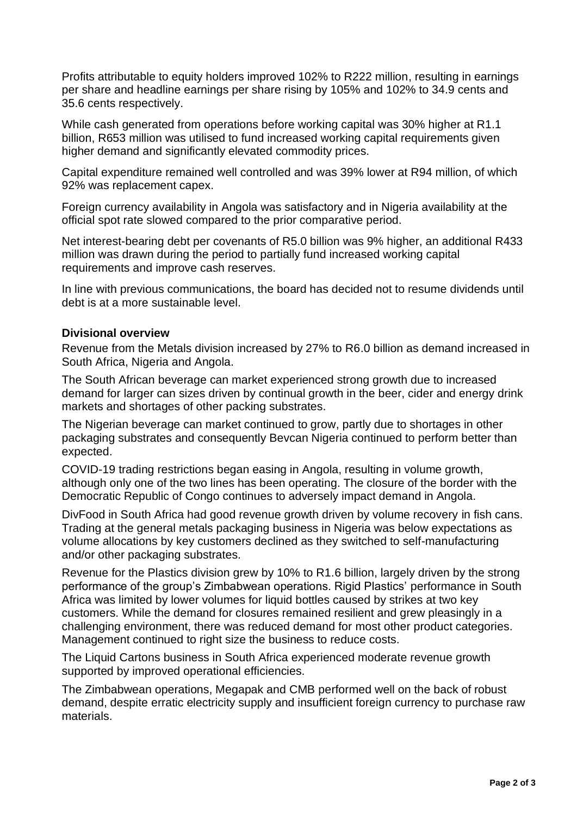Profits attributable to equity holders improved 102% to R222 million, resulting in earnings per share and headline earnings per share rising by 105% and 102% to 34.9 cents and 35.6 cents respectively.

While cash generated from operations before working capital was 30% higher at R1.1 billion, R653 million was utilised to fund increased working capital requirements given higher demand and significantly elevated commodity prices.

Capital expenditure remained well controlled and was 39% lower at R94 million, of which 92% was replacement capex.

Foreign currency availability in Angola was satisfactory and in Nigeria availability at the official spot rate slowed compared to the prior comparative period.

Net interest-bearing debt per covenants of R5.0 billion was 9% higher, an additional R433 million was drawn during the period to partially fund increased working capital requirements and improve cash reserves.

In line with previous communications, the board has decided not to resume dividends until debt is at a more sustainable level.

#### **Divisional overview**

Revenue from the Metals division increased by 27% to R6.0 billion as demand increased in South Africa, Nigeria and Angola.

The South African beverage can market experienced strong growth due to increased demand for larger can sizes driven by continual growth in the beer, cider and energy drink markets and shortages of other packing substrates.

The Nigerian beverage can market continued to grow, partly due to shortages in other packaging substrates and consequently Bevcan Nigeria continued to perform better than expected.

COVID-19 trading restrictions began easing in Angola, resulting in volume growth, although only one of the two lines has been operating. The closure of the border with the Democratic Republic of Congo continues to adversely impact demand in Angola.

DivFood in South Africa had good revenue growth driven by volume recovery in fish cans. Trading at the general metals packaging business in Nigeria was below expectations as volume allocations by key customers declined as they switched to self-manufacturing and/or other packaging substrates.

Revenue for the Plastics division grew by 10% to R1.6 billion, largely driven by the strong performance of the group's Zimbabwean operations. Rigid Plastics' performance in South Africa was limited by lower volumes for liquid bottles caused by strikes at two key customers. While the demand for closures remained resilient and grew pleasingly in a challenging environment, there was reduced demand for most other product categories. Management continued to right size the business to reduce costs.

The Liquid Cartons business in South Africa experienced moderate revenue growth supported by improved operational efficiencies.

The Zimbabwean operations, Megapak and CMB performed well on the back of robust demand, despite erratic electricity supply and insufficient foreign currency to purchase raw materials.